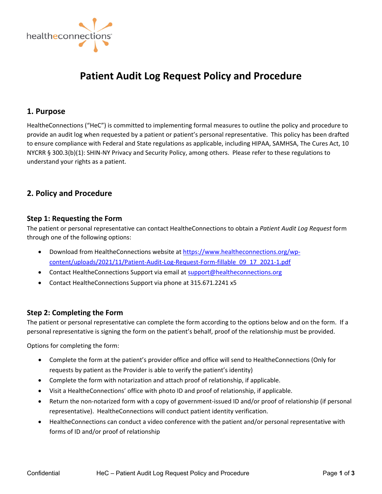

# **Patient Audit Log Request Policy and Procedure**

# **1. Purpose**

HealtheConnections ("HeC") is committed to implementing formal measures to outline the policy and procedure to provide an audit log when requested by a patient or patient's personal representative. This policy has been drafted to ensure compliance with Federal and State regulations as applicable, including HIPAA, SAMHSA, The Cures Act, 10 NYCRR § 300.3(b)(1): SHIN‐NY Privacy and Security Policy, among others. Please refer to these regulations to understand your rights as a patient.

# **2. Policy and Procedure**

## **Step 1: Requesting the Form**

The patient or personal representative can contact HealtheConnections to obtain a *Patient Audit Log Request* form through one of the following options:

- Download from HealtheConnections website at [https://www.healtheconnections.org/wp](https://www.healtheconnections.org/wp-content/uploads/2021/11/Patient-Audit-Log-Request-Form-fillable_09_17_2021-1.pdf)content/uploads/2021/11/Patient‐Audit‐Log‐Request‐Form‐fillable\_09\_17\_2021‐1.pdf
- Contact HealtheConnections Support via email at support@healtheconnections.org
- Contact HealtheConnections Support via phone at 315.671.2241 x5

# **Step 2: Completing the Form**

The patient or personal representative can complete the form according to the options below and on the form. If a personal representative is signing the form on the patient's behalf, proof of the relationship must be provided.

Options for completing the form:

- Complete the form at the patient's provider office and office will send to HealtheConnections (Only for requests by patient as the Provider is able to verify the patient's identity)
- Complete the form with notarization and attach proof of relationship, if applicable.
- Visit a HealtheConnections' office with photo ID and proof of relationship, if applicable.
- Return the non-notarized form with a copy of government-issued ID and/or proof of relationship (if personal representative). HealtheConnections will conduct patient identity verification.
- HealtheConnections can conduct a video conference with the patient and/or personal representative with forms of ID and/or proof of relationship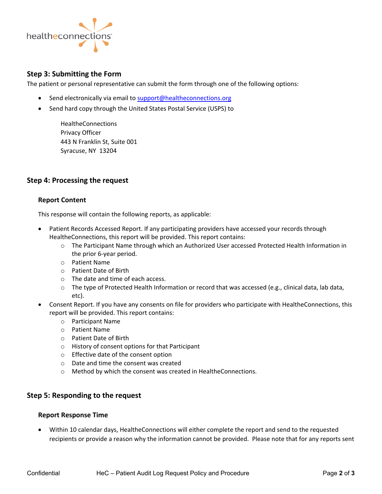

## **Step 3: Submitting the Form**

The patient or personal representative can submit the form through one of the following options:

- Send electronically via email to support@healtheconnections.org
- Send hard copy through the United States Postal Service (USPS) to

**HealtheConnections** Privacy Officer 443 N Franklin St, Suite 001 Syracuse, NY 13204

# **Step 4: Processing the request**

#### **Report Content**

This response will contain the following reports, as applicable:

- Patient Records Accessed Report. If any participating providers have accessed your records through HealtheConnections, this report will be provided. This report contains:
	- o The Participant Name through which an Authorized User accessed Protected Health Information in the prior 6‐year period.
	- o Patient Name
	- o Patient Date of Birth
	- o The date and time of each access.
	- o The type of Protected Health Information or record that was accessed (e.g., clinical data, lab data, etc).
- Consent Report. If you have any consents on file for providers who participate with HealtheConnections, this report will be provided. This report contains:
	- o Participant Name
	- o Patient Name
	- o Patient Date of Birth
	- o History of consent options for that Participant
	- o Effective date of the consent option
	- o Date and time the consent was created
	- o Method by which the consent was created in HealtheConnections.

#### **Step 5: Responding to the request**

#### **Report Response Time**

• Within 10 calendar days, HealtheConnections will either complete the report and send to the requested recipients or provide a reason why the information cannot be provided. Please note that for any reports sent